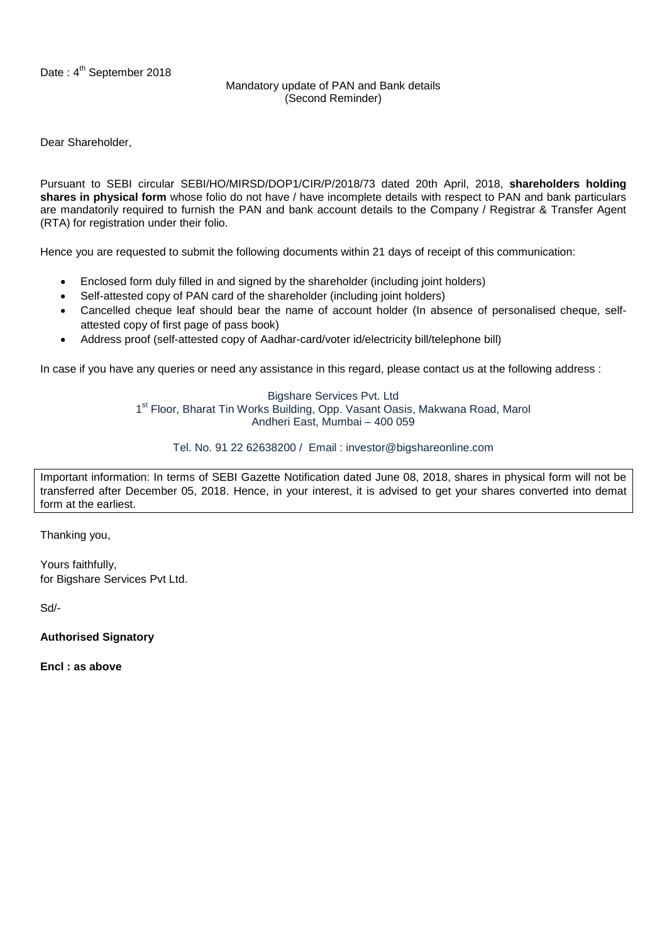## Mandatory update of PAN and Bank details (Second Reminder)

Dear Shareholder,

Pursuant to SEBI circular SEBI/HO/MIRSD/DOP1/CIR/P/2018/73 dated 20th April, 2018, **shareholders holding shares in physical form** whose folio do not have / have incomplete details with respect to PAN and bank particulars are mandatorily required to furnish the PAN and bank account details to the Company / Registrar & Transfer Agent (RTA) for registration under their folio.

Hence you are requested to submit the following documents within 21 days of receipt of this communication:

- Enclosed form duly filled in and signed by the shareholder (including joint holders)
- Self-attested copy of PAN card of the shareholder (including joint holders)
- Cancelled cheque leaf should bear the name of account holder (In absence of personalised cheque, selfattested copy of first page of pass book)
- Address proof (self-attested copy of Aadhar-card/voter id/electricity bill/telephone bill)

In case if you have any queries or need any assistance in this regard, please contact us at the following address :

Bigshare Services Pvt. Ltd 1<sup>st</sup> Floor, Bharat Tin Works Building, Opp. Vasant Oasis, Makwana Road, Marol Andheri East, Mumbai – 400 059

Tel. No. 91 22 62638200 / Email : investor@bigshareonline.com

Important information: In terms of SEBI Gazette Notification dated June 08, 2018, shares in physical form will not be transferred after December 05, 2018. Hence, in your interest, it is advised to get your shares converted into demat form at the earliest.

Thanking you,

Yours faithfully, for Bigshare Services Pvt Ltd.

Sd/-

**Authorised Signatory**

**Encl : as above**